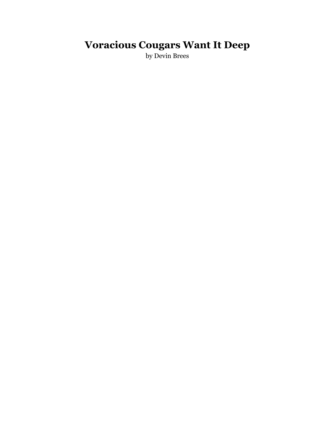## **Voracious Cougars Want It Deep**

by Devin Brees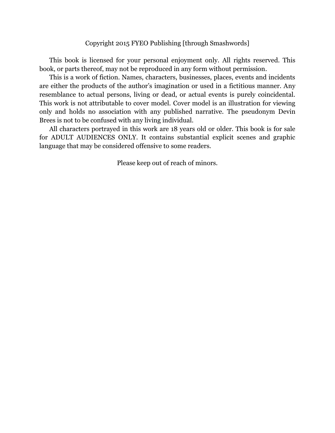## Copyright 2015 FYEO Publishing [through Smashwords]

This book is licensed for your personal enjoyment only. All rights reserved. This book, or parts thereof, may not be reproduced in any form without permission.

This is a work of fiction. Names, characters, businesses, places, events and incidents are either the products of the author's imagination or used in a fictitious manner. Any resemblance to actual persons, living or dead, or actual events is purely coincidental. This work is not attributable to cover model. Cover model is an illustration for viewing only and holds no association with any published narrative. The pseudonym Devin Brees is not to be confused with any living individual.

All characters portrayed in this work are 18 years old or older. This book is for sale for ADULT AUDIENCES ONLY. It contains substantial explicit scenes and graphic language that may be considered offensive to some readers.

Please keep out of reach of minors.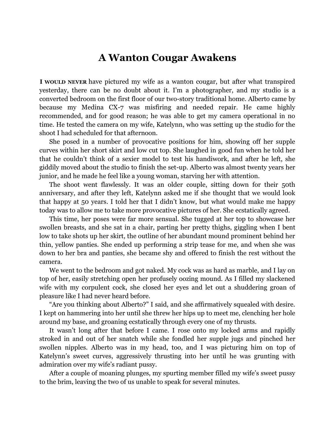## **A Wanton Cougar Awakens**

**I WOULD NEVER** have pictured my wife as a wanton cougar, but after what transpired yesterday, there can be no doubt about it. I'm a photographer, and my studio is a converted bedroom on the first floor of our two-story traditional home. Alberto came by because my Medina CX-7 was misfiring and needed repair. He came highly recommended, and for good reason; he was able to get my camera operational in no time. He tested the camera on my wife, Katelynn, who was setting up the studio for the shoot I had scheduled for that afternoon.

She posed in a number of provocative positions for him, showing off her supple curves within her short skirt and low cut top. She laughed in good fun when he told her that he couldn't think of a sexier model to test his handiwork, and after he left, she giddily moved about the studio to finish the set-up. Alberto was almost twenty years her junior, and he made he feel like a young woman, starving her with attention.

The shoot went flawlessly. It was an older couple, sitting down for their 50th anniversary, and after they left, Katelynn asked me if she thought that we would look that happy at 50 years. I told her that I didn't know, but what would make me happy today was to allow me to take more provocative pictures of her. She ecstatically agreed.

This time, her poses were far more sensual. She tugged at her top to showcase her swollen breasts, and she sat in a chair, parting her pretty thighs, giggling when I bent low to take shots up her skirt, the outline of her abundant mound prominent behind her thin, yellow panties. She ended up performing a strip tease for me, and when she was down to her bra and panties, she became shy and offered to finish the rest without the camera.

We went to the bedroom and got naked. My cock was as hard as marble, and I lay on top of her, easily stretching open her profusely oozing mound. As I filled my slackened wife with my corpulent cock, she closed her eyes and let out a shuddering groan of pleasure like I had never heard before.

"Are you thinking about Alberto?" I said, and she affirmatively squealed with desire. I kept on hammering into her until she threw her hips up to meet me, clenching her hole around my base, and groaning ecstatically through every one of my thrusts.

It wasn't long after that before I came. I rose onto my locked arms and rapidly stroked in and out of her snatch while she fondled her supple jugs and pinched her swollen nipples. Alberto was in my head, too, and I was picturing him on top of Katelynn's sweet curves, aggressively thrusting into her until he was grunting with admiration over my wife's radiant pussy.

After a couple of moaning plunges, my spurting member filled my wife's sweet pussy to the brim, leaving the two of us unable to speak for several minutes.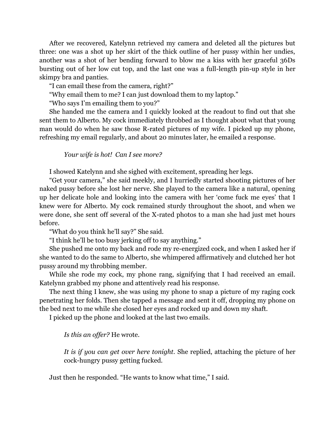After we recovered, Katelynn retrieved my camera and deleted all the pictures but three: one was a shot up her skirt of the thick outline of her pussy within her undies, another was a shot of her bending forward to blow me a kiss with her graceful 36Ds bursting out of her low cut top, and the last one was a full-length pin-up style in her skimpy bra and panties.

"I can email these from the camera, right?"

"Why email them to me? I can just download them to my laptop."

"Who says I'm emailing them to you?"

She handed me the camera and I quickly looked at the readout to find out that she sent them to Alberto. My cock immediately throbbed as I thought about what that young man would do when he saw those R-rated pictures of my wife. I picked up my phone, refreshing my email regularly, and about 20 minutes later, he emailed a response.

*Your wife is hot! Can I see more?*

I showed Katelynn and she sighed with excitement, spreading her legs.

"Get your camera," she said meekly, and I hurriedly started shooting pictures of her naked pussy before she lost her nerve. She played to the camera like a natural, opening up her delicate hole and looking into the camera with her 'come fuck me eyes' that I knew were for Alberto. My cock remained sturdy throughout the shoot, and when we were done, she sent off several of the X-rated photos to a man she had just met hours before.

"What do you think he'll say?" She said.

"I think he'll be too busy jerking off to say anything."

She pushed me onto my back and rode my re-energized cock, and when I asked her if she wanted to do the same to Alberto, she whimpered affirmatively and clutched her hot pussy around my throbbing member.

While she rode my cock, my phone rang, signifying that I had received an email. Katelynn grabbed my phone and attentively read his response.

The next thing I knew, she was using my phone to snap a picture of my raging cock penetrating her folds. Then she tapped a message and sent it off, dropping my phone on the bed next to me while she closed her eyes and rocked up and down my shaft.

I picked up the phone and looked at the last two emails.

*Is this an offer?* He wrote.

*It is if you can get over here tonight.* She replied, attaching the picture of her cock-hungry pussy getting fucked.

Just then he responded. "He wants to know what time," I said.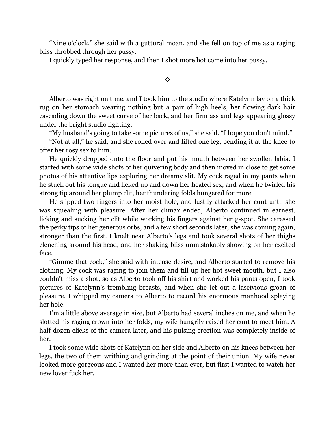"Nine o'clock," she said with a guttural moan, and she fell on top of me as a raging bliss throbbed through her pussy.

I quickly typed her response, and then I shot more hot come into her pussy.

**◊**

Alberto was right on time, and I took him to the studio where Katelynn lay on a thick rug on her stomach wearing nothing but a pair of high heels, her flowing dark hair cascading down the sweet curve of her back, and her firm ass and legs appearing glossy under the bright studio lighting.

"My husband's going to take some pictures of us," she said. "I hope you don't mind."

"Not at all," he said, and she rolled over and lifted one leg, bending it at the knee to offer her rosy sex to him.

He quickly dropped onto the floor and put his mouth between her swollen labia. I started with some wide shots of her quivering body and then moved in close to get some photos of his attentive lips exploring her dreamy slit. My cock raged in my pants when he stuck out his tongue and licked up and down her heated sex, and when he twirled his strong tip around her plump clit, her thundering folds hungered for more.

He slipped two fingers into her moist hole, and lustily attacked her cunt until she was squealing with pleasure. After her climax ended, Alberto continued in earnest, licking and sucking her clit while working his fingers against her g-spot. She caressed the perky tips of her generous orbs, and a few short seconds later, she was coming again, stronger than the first. I knelt near Alberto's legs and took several shots of her thighs clenching around his head, and her shaking bliss unmistakably showing on her excited face.

"Gimme that cock," she said with intense desire, and Alberto started to remove his clothing. My cock was raging to join them and fill up her hot sweet mouth, but I also couldn't miss a shot, so as Alberto took off his shirt and worked his pants open, I took pictures of Katelynn's trembling breasts, and when she let out a lascivious groan of pleasure, I whipped my camera to Alberto to record his enormous manhood splaying her hole.

I'm a little above average in size, but Alberto had several inches on me, and when he slotted his raging crown into her folds, my wife hungrily raised her cunt to meet him. A half-dozen clicks of the camera later, and his pulsing erection was completely inside of her.

I took some wide shots of Katelynn on her side and Alberto on his knees between her legs, the two of them writhing and grinding at the point of their union. My wife never looked more gorgeous and I wanted her more than ever, but first I wanted to watch her new lover fuck her.